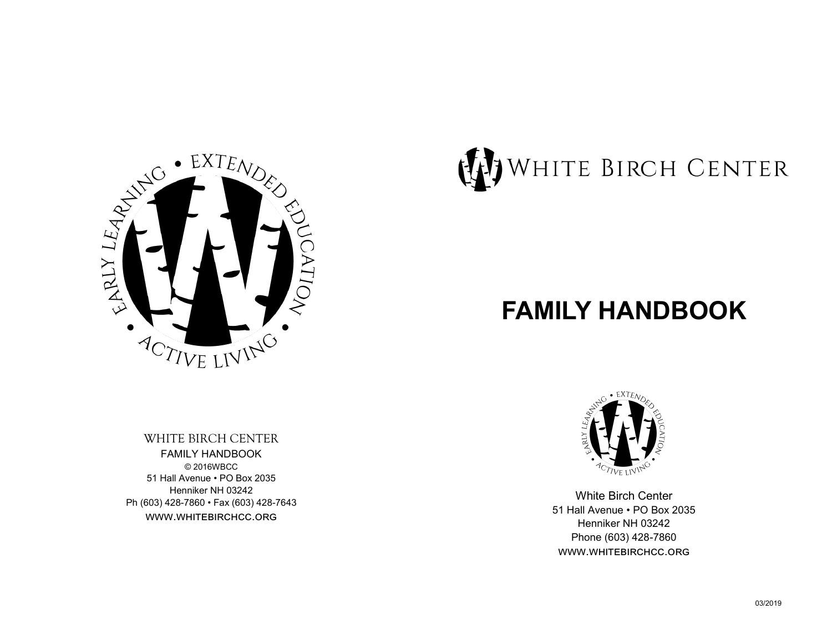

WHITE BIRCH CENTER FAMILY HANDBOOK © 2016WBCC 51 Hall Avenue • PO Box 2035 Henniker NH 03242 Ph (603) 428-7860 • Fax (603) 428-7643 www.whitebirchcc.org

# WHITE BIRCH CENTER

## **FAMILY HANDBOOK**



White Birch Center 51 Hall Avenue • PO Box 2035 Henniker NH 03242 Phone (603) 428-7860 www.whitebirchcc.org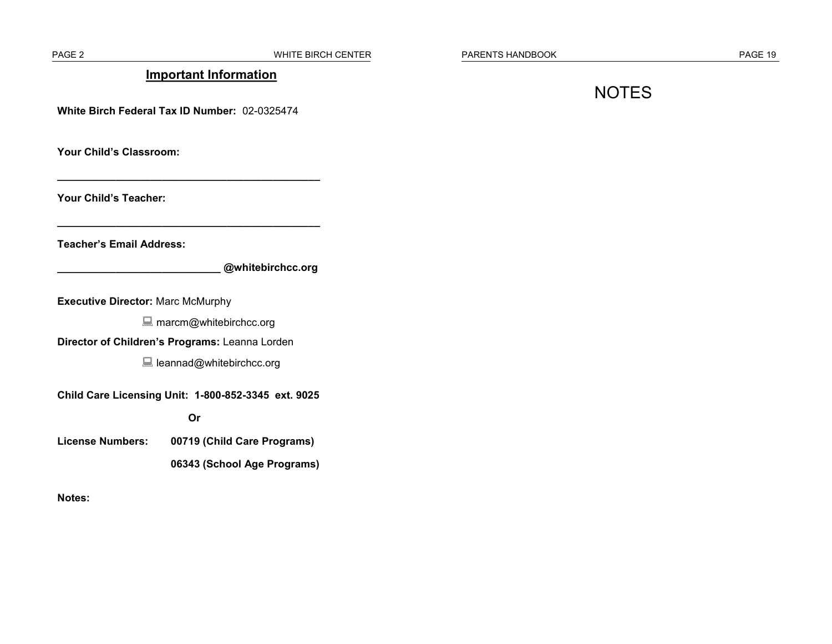PAGE 2 WHITE BIRCH CENTER

PARENTS HANDBOOK PAGE 19

#### **Important Information**

**White Birch Federal Tax ID Number:** 02-0325474

**\_\_\_\_\_\_\_\_\_\_\_\_\_\_\_\_\_\_\_\_\_\_\_\_\_\_\_\_\_\_\_\_\_\_\_\_\_\_\_\_\_\_\_\_\_**

**\_\_\_\_\_\_\_\_\_\_\_\_\_\_\_\_\_\_\_\_\_\_\_\_\_\_\_\_\_\_\_\_\_\_\_\_\_\_\_\_\_\_\_\_\_**

**Your Child's Classroom:**

**Your Child's Teacher:**

**Teacher's Email Address:**

**\_\_\_\_\_\_\_\_\_\_\_\_\_\_\_\_\_\_\_\_\_\_\_\_\_\_\_\_ @whitebirchcc.org**

**Executive Director:** Marc McMurphy

 marcm@whitebirchcc.org

**Director of Children's Programs:** Leanna Lorden

**a** leannad@whitebirchcc.org

#### **Child Care Licensing Unit: 1-800-852-3345 ext. 9025**

 **Or** 

**License Numbers: 00719 (Child Care Programs)**

**06343 (School Age Programs)**

**Notes:**

## **NOTES**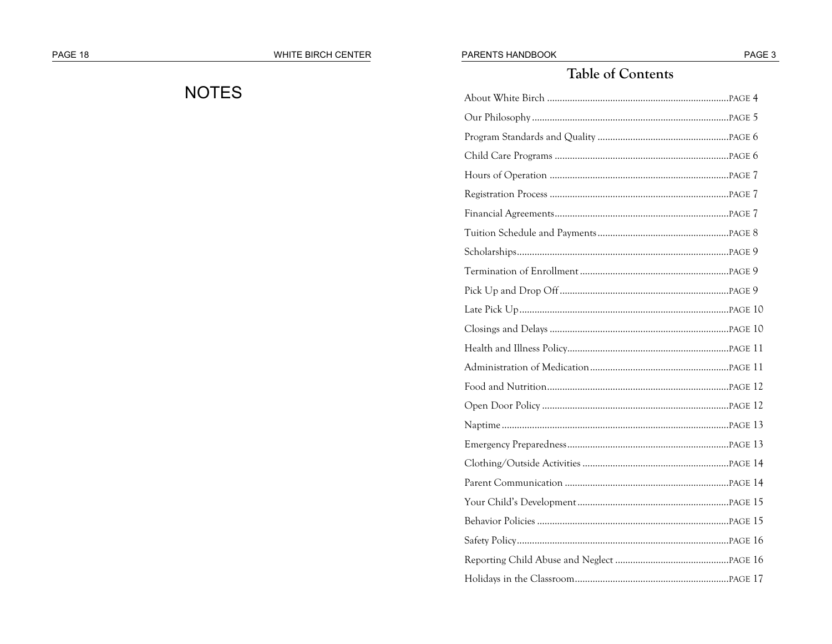## **NOTES**

### Table of Contents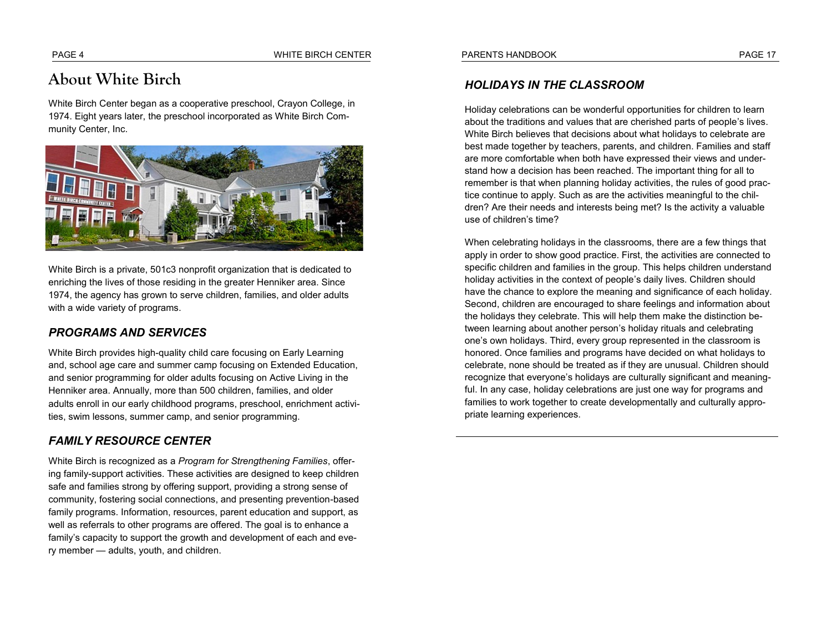## **About White Birch**

White Birch Center began as a cooperative preschool, Crayon College, in 1974. Eight years later, the preschool incorporated as White Birch Community Center, Inc.



White Birch is a private, 501c3 nonprofit organization that is dedicated to enriching the lives of those residing in the greater Henniker area. Since 1974, the agency has grown to serve children, families, and older adults with a wide variety of programs.

#### *PROGRAMS AND SERVICES*

White Birch provides high-quality child care focusing on Early Learning and, school age care and summer camp focusing on Extended Education, and senior programming for older adults focusing on Active Living in the Henniker area. Annually, more than 500 children, families, and older adults enroll in our early childhood programs, preschool, enrichment activities, swim lessons, summer camp, and senior programming.

#### *FAMILY RESOURCE CENTER*

White Birch is recognized as a *Program for Strengthening Families*, offering family-support activities. These activities are designed to keep children safe and families strong by offering support, providing a strong sense of community, fostering social connections, and presenting prevention-based family programs. Information, resources, parent education and support, as well as referrals to other programs are offered. The goal is to enhance a family's capacity to support the growth and development of each and every member — adults, youth, and children.

#### *HOLIDAYS IN THE CLASSROOM*

Holiday celebrations can be wonderful opportunities for children to learn about the traditions and values that are cherished parts of people's lives. White Birch believes that decisions about what holidays to celebrate are best made together by teachers, parents, and children. Families and staff are more comfortable when both have expressed their views and understand how a decision has been reached. The important thing for all to remember is that when planning holiday activities, the rules of good practice continue to apply. Such as are the activities meaningful to the children? Are their needs and interests being met? Is the activity a valuable use of children's time?

When celebrating holidays in the classrooms, there are a few things that apply in order to show good practice. First, the activities are connected to specific children and families in the group. This helps children understand holiday activities in the context of people's daily lives. Children should have the chance to explore the meaning and significance of each holiday. Second, children are encouraged to share feelings and information about the holidays they celebrate. This will help them make the distinction between learning about another person's holiday rituals and celebrating one's own holidays. Third, every group represented in the classroom is honored. Once families and programs have decided on what holidays to celebrate, none should be treated as if they are unusual. Children should recognize that everyone's holidays are culturally significant and meaningful. In any case, holiday celebrations are just one way for programs and families to work together to create developmentally and culturally appropriate learning experiences.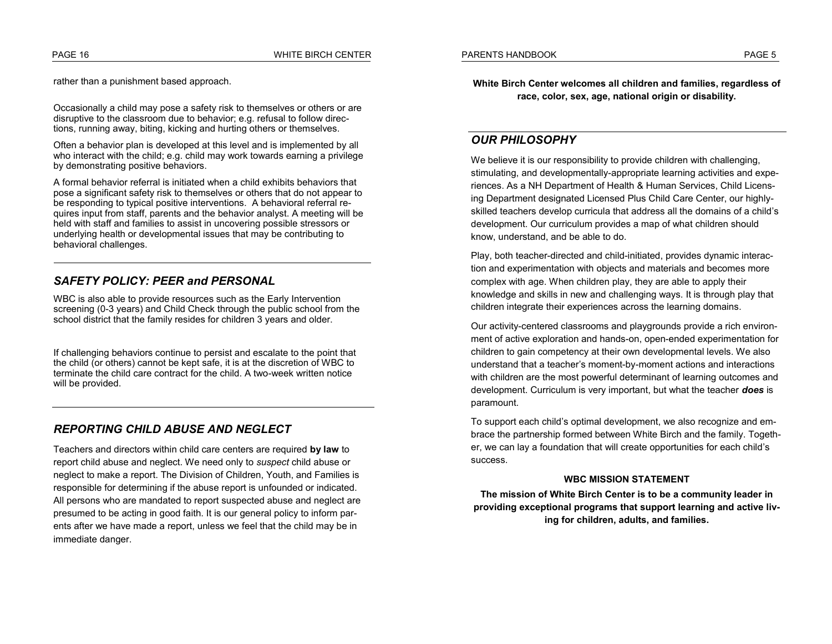rather than a punishment based approach.

Occasionally a child may pose a safety risk to themselves or others or are disruptive to the classroom due to behavior; e.g. refusal to follow directions, running away, biting, kicking and hurting others or themselves.

Often a behavior plan is developed at this level and is implemented by all who interact with the child; e.g. child may work towards earning a privilege by demonstrating positive behaviors.

A formal behavior referral is initiated when a child exhibits behaviors that pose a significant safety risk to themselves or others that do not appear to be responding to typical positive interventions. A behavioral referral requires input from staff, parents and the behavior analyst. A meeting will be held with staff and families to assist in uncovering possible stressors or underlying health or developmental issues that may be contributing to behavioral challenges.

#### *SAFETY POLICY: PEER and PERSONAL*

WBC is also able to provide resources such as the Early Intervention screening (0-3 years) and Child Check through the public school from the school district that the family resides for children 3 years and older.

If challenging behaviors continue to persist and escalate to the point that the child (or others) cannot be kept safe, it is at the discretion of WBC to terminate the child care contract for the child. A two-week written notice will be provided.

#### *REPORTING CHILD ABUSE AND NEGLECT*

Teachers and directors within child care centers are required **by law** to report child abuse and neglect. We need only to *suspect* child abuse or neglect to make a report. The Division of Children, Youth, and Families is responsible for determining if the abuse report is unfounded or indicated. All persons who are mandated to report suspected abuse and neglect are presumed to be acting in good faith. It is our general policy to inform parents after we have made a report, unless we feel that the child may be in immediate danger.

**White Birch Center welcomes all children and families, regardless of race, color, sex, age, national origin or disability.**

#### *OUR PHILOSOPHY*

We believe it is our responsibility to provide children with challenging, stimulating, and developmentally-appropriate learning activities and experiences. As a NH Department of Health & Human Services, Child Licensing Department designated Licensed Plus Child Care Center, our highlyskilled teachers develop curricula that address all the domains of a child's development. Our curriculum provides a map of what children should know, understand, and be able to do.

Play, both teacher-directed and child-initiated, provides dynamic interaction and experimentation with objects and materials and becomes more complex with age. When children play, they are able to apply their knowledge and skills in new and challenging ways. It is through play that children integrate their experiences across the learning domains.

Our activity-centered classrooms and playgrounds provide a rich environment of active exploration and hands-on, open-ended experimentation for children to gain competency at their own developmental levels. We also understand that a teacher's moment-by-moment actions and interactions with children are the most powerful determinant of learning outcomes and development. Curriculum is very important, but what the teacher *does* is paramount.

To support each child's optimal development, we also recognize and embrace the partnership formed between White Birch and the family. Together, we can lay a foundation that will create opportunities for each child's success.

#### **WBC MISSION STATEMENT**

**The mission of White Birch Center is to be a community leader in providing exceptional programs that support learning and active living for children, adults, and families.**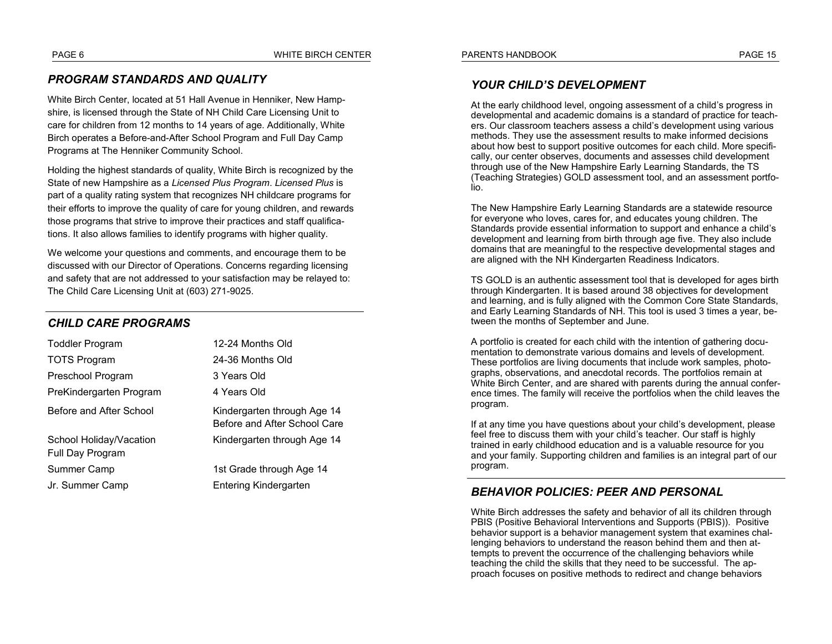#### *PROGRAM STANDARDS AND QUALITY*

White Birch Center, located at 51 Hall Avenue in Henniker, New Hampshire, is licensed through the State of NH Child Care Licensing Unit to care for children from 12 months to 14 years of age. Additionally, White Birch operates a Before-and-After School Program and Full Day Camp Programs at The Henniker Community School.

Holding the highest standards of quality, White Birch is recognized by the State of new Hampshire as a *Licensed Plus Program*. *Licensed Plus* is part of a quality rating system that recognizes NH childcare programs for their efforts to improve the quality of care for young children, and rewards those programs that strive to improve their practices and staff qualifications. It also allows families to identify programs with higher quality.

We welcome your questions and comments, and encourage them to be discussed with our Director of Operations. Concerns regarding licensing and safety that are not addressed to your satisfaction may be relayed to: The Child Care Licensing Unit at (603) 271-9025.

#### *CHILD CARE PROGRAMS*

| <b>Toddler Program</b>                      | 12-24 Months Old                                            |
|---------------------------------------------|-------------------------------------------------------------|
| <b>TOTS Program</b>                         | 24-36 Months Old                                            |
| Preschool Program                           | 3 Years Old                                                 |
| PreKindergarten Program                     | 4 Years Old                                                 |
| Before and After School                     | Kindergarten through Age 14<br>Before and After School Care |
| School Holiday/Vacation<br>Full Day Program | Kindergarten through Age 14                                 |
| Summer Camp                                 | 1st Grade through Age 14                                    |
| Jr. Summer Camp                             | <b>Entering Kindergarten</b>                                |

#### *YOUR CHILD'S DEVELOPMENT*

At the early childhood level, ongoing assessment of a child's progress in developmental and academic domains is a standard of practice for teachers. Our classroom teachers assess a child's development using various methods. They use the assessment results to make informed decisions about how best to support positive outcomes for each child. More specifically, our center observes, documents and assesses child development through use of the New Hampshire Early Learning Standards, the TS (Teaching Strategies) GOLD assessment tool, and an assessment portfolio.

The New Hampshire Early Learning Standards are a statewide resource for everyone who loves, cares for, and educates young children. The Standards provide essential information to support and enhance a child's development and learning from birth through age five. They also include domains that are meaningful to the respective developmental stages and are aligned with the NH Kindergarten Readiness Indicators.

TS GOLD is an authentic assessment tool that is developed for ages birth through Kindergarten. It is based around 38 objectives for development and learning, and is fully aligned with the Common Core State Standards, and Early Learning Standards of NH. This tool is used 3 times a year, between the months of September and June.

A portfolio is created for each child with the intention of gathering documentation to demonstrate various domains and levels of development. These portfolios are living documents that include work samples, photographs, observations, and anecdotal records. The portfolios remain at White Birch Center, and are shared with parents during the annual conference times. The family will receive the portfolios when the child leaves the program.

If at any time you have questions about your child's development, please feel free to discuss them with your child's teacher. Our staff is highly trained in early childhood education and is a valuable resource for you and your family. Supporting children and families is an integral part of our program.

#### *BEHAVIOR POLICIES: PEER AND PERSONAL*

White Birch addresses the safety and behavior of all its children through PBIS (Positive Behavioral Interventions and Supports (PBIS)). Positive behavior support is a behavior management system that examines challenging behaviors to understand the reason behind them and then attempts to prevent the occurrence of the challenging behaviors while teaching the child the skills that they need to be successful. The approach focuses on positive methods to redirect and change behaviors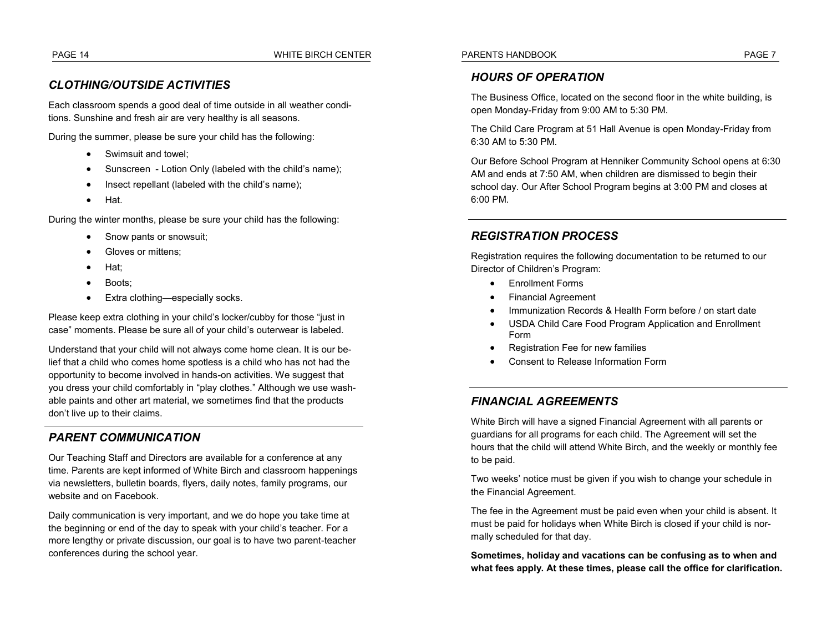#### *CLOTHING/OUTSIDE ACTIVITIES*

Each classroom spends a good deal of time outside in all weather conditions. Sunshine and fresh air are very healthy is all seasons.

During the summer, please be sure your child has the following:

- Swimsuit and towel:
- Sunscreen Lotion Only (labeled with the child's name);
- Insect repellant (labeled with the child's name);
- Hat.

During the winter months, please be sure your child has the following:

- Snow pants or snowsuit;
- Gloves or mittens;
- Hat:
- Boots;
- Extra clothing—especially socks.

Please keep extra clothing in your child's locker/cubby for those "just in case" moments. Please be sure all of your child's outerwear is labeled.

Understand that your child will not always come home clean. It is our belief that a child who comes home spotless is a child who has not had the opportunity to become involved in hands-on activities. We suggest that you dress your child comfortably in "play clothes." Although we use washable paints and other art material, we sometimes find that the products don't live up to their claims.

#### *PARENT COMMUNICATION*

Our Teaching Staff and Directors are available for a conference at any time. Parents are kept informed of White Birch and classroom happenings via newsletters, bulletin boards, flyers, daily notes, family programs, our website and on Facebook.

Daily communication is very important, and we do hope you take time at the beginning or end of the day to speak with your child's teacher. For a more lengthy or private discussion, our goal is to have two parent-teacher conferences during the school year.

#### *HOURS OF OPERATION*

The Business Office, located on the second floor in the white building, is open Monday-Friday from 9:00 AM to 5:30 PM.

The Child Care Program at 51 Hall Avenue is open Monday-Friday from 6:30 AM to 5:30 PM.

Our Before School Program at Henniker Community School opens at 6:30 AM and ends at 7:50 AM, when children are dismissed to begin their school day. Our After School Program begins at 3:00 PM and closes at 6:00 PM.

#### *REGISTRATION PROCESS*

Registration requires the following documentation to be returned to our Director of Children's Program:

- Enrollment Forms
- Financial Agreement
- Immunization Records & Health Form before / on start date
- USDA Child Care Food Program Application and Enrollment Form
- Registration Fee for new families
- Consent to Release Information Form

#### *FINANCIAL AGREEMENTS*

White Birch will have a signed Financial Agreement with all parents or guardians for all programs for each child. The Agreement will set the hours that the child will attend White Birch, and the weekly or monthly fee to be paid.

Two weeks' notice must be given if you wish to change your schedule in the Financial Agreement.

The fee in the Agreement must be paid even when your child is absent. It must be paid for holidays when White Birch is closed if your child is normally scheduled for that day.

**Sometimes, holiday and vacations can be confusing as to when and what fees apply. At these times, please call the office for clarification.**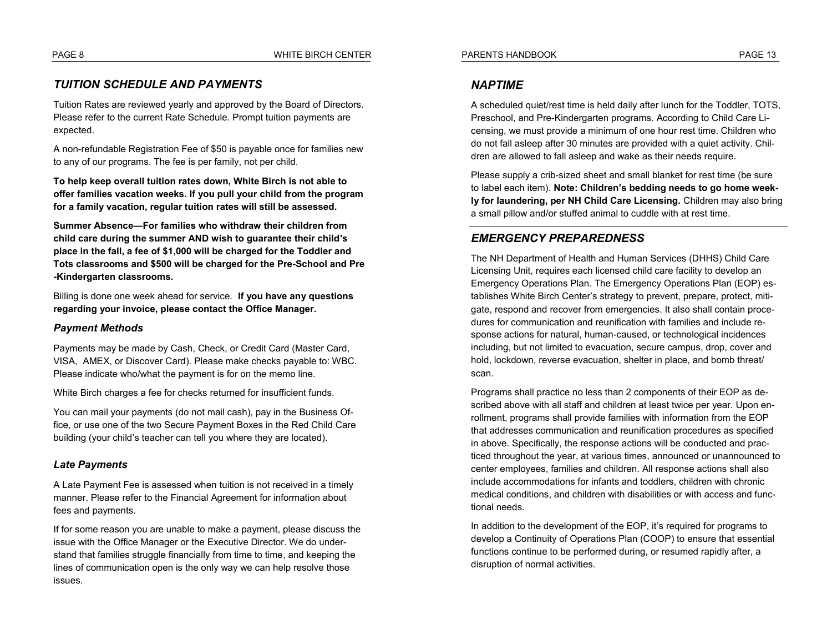#### *TUITION SCHEDULE AND PAYMENTS*

Tuition Rates are reviewed yearly and approved by the Board of Directors. Please refer to the current Rate Schedule. Prompt tuition payments are expected.

A non-refundable Registration Fee of \$50 is payable once for families new to any of our programs. The fee is per family, not per child.

**To help keep overall tuition rates down, White Birch is not able to offer families vacation weeks. If you pull your child from the program for a family vacation, regular tuition rates will still be assessed.**

**Summer Absence—For families who withdraw their children from child care during the summer AND wish to guarantee their child's place in the fall, a fee of \$1,000 will be charged for the Toddler and Tots classrooms and \$500 will be charged for the Pre-School and Pre -Kindergarten classrooms.**

Billing is done one week ahead for service. **If you have any questions regarding your invoice, please contact the Office Manager.**

#### *Payment Methods*

Payments may be made by Cash, Check, or Credit Card (Master Card, VISA, AMEX, or Discover Card). Please make checks payable to: WBC. Please indicate who/what the payment is for on the memo line.

White Birch charges a fee for checks returned for insufficient funds.

You can mail your payments (do not mail cash), pay in the Business Office, or use one of the two Secure Payment Boxes in the Red Child Care building (your child's teacher can tell you where they are located).

#### *Late Payments*

A Late Payment Fee is assessed when tuition is not received in a timely manner. Please refer to the Financial Agreement for information about fees and payments.

If for some reason you are unable to make a payment, please discuss the issue with the Office Manager or the Executive Director. We do understand that families struggle financially from time to time, and keeping the lines of communication open is the only way we can help resolve those issues.

#### *NAPTIME*

A scheduled quiet/rest time is held daily after lunch for the Toddler, TOTS, Preschool, and Pre-Kindergarten programs. According to Child Care Licensing, we must provide a minimum of one hour rest time. Children who do not fall asleep after 30 minutes are provided with a quiet activity. Children are allowed to fall asleep and wake as their needs require.

Please supply a crib-sized sheet and small blanket for rest time (be sure to label each item). **Note: Children's bedding needs to go home weekly for laundering, per NH Child Care Licensing.** Children may also bring a small pillow and/or stuffed animal to cuddle with at rest time.

#### *EMERGENCY PREPAREDNESS*

The NH Department of Health and Human Services (DHHS) Child Care Licensing Unit, requires each licensed child care facility to develop an Emergency Operations Plan. The Emergency Operations Plan (EOP) establishes White Birch Center's strategy to prevent, prepare, protect, mitigate, respond and recover from emergencies. It also shall contain procedures for communication and reunification with families and include response actions for natural, human-caused, or technological incidences including, but not limited to evacuation, secure campus, drop, cover and hold, lockdown, reverse evacuation, shelter in place, and bomb threat/ scan.

Programs shall practice no less than 2 components of their EOP as described above with all staff and children at least twice per year. Upon enrollment, programs shall provide families with information from the EOP that addresses communication and reunification procedures as specified in above. Specifically, the response actions will be conducted and practiced throughout the year, at various times, announced or unannounced to center employees, families and children. All response actions shall also include accommodations for infants and toddlers, children with chronic medical conditions, and children with disabilities or with access and functional needs.

In addition to the development of the EOP, it's required for programs to develop a Continuity of Operations Plan (COOP) to ensure that essential functions continue to be performed during, or resumed rapidly after, a disruption of normal activities.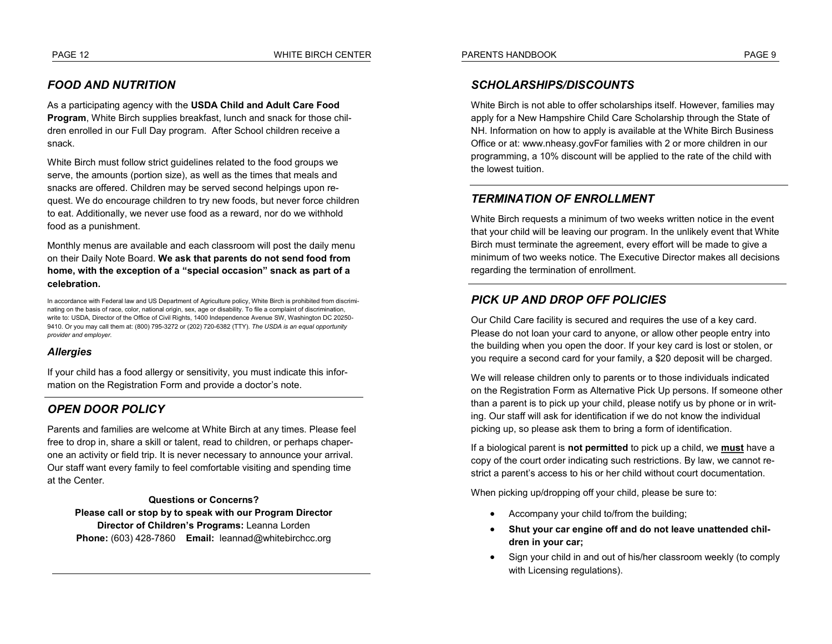#### *FOOD AND NUTRITION*

As a participating agency with the **USDA Child and Adult Care Food Program**, White Birch supplies breakfast, lunch and snack for those children enrolled in our Full Day program. After School children receive a snack.

White Birch must follow strict guidelines related to the food groups we serve, the amounts (portion size), as well as the times that meals and snacks are offered. Children may be served second helpings upon request. We do encourage children to try new foods, but never force children to eat. Additionally, we never use food as a reward, nor do we withhold food as a punishment.

Monthly menus are available and each classroom will post the daily menu on their Daily Note Board. **We ask that parents do not send food from home, with the exception of a "special occasion" snack as part of a celebration.**

In accordance with Federal law and US Department of Agriculture policy, White Birch is prohibited from discriminating on the basis of race, color, national origin, sex, age or disability. To file a complaint of discrimination, write to: USDA, Director of the Office of Civil Rights, 1400 Independence Avenue SW, Washington DC 20250-9410. Or you may call them at: (800) 795-3272 or (202) 720-6382 (TTY). *The USDA is an equal opportunity provider and employer.*

#### *Allergies*

If your child has a food allergy or sensitivity, you must indicate this information on the Registration Form and provide a doctor's note.

#### *OPEN DOOR POLICY*

Parents and families are welcome at White Birch at any times. Please feel free to drop in, share a skill or talent, read to children, or perhaps chaperone an activity or field trip. It is never necessary to announce your arrival. Our staff want every family to feel comfortable visiting and spending time at the Center.

#### **Questions or Concerns? Please call or stop by to speak with our Program Director Director of Children's Programs:** Leanna Lorden **Phone:** (603) 428-7860 **Email:** leannad@whitebirchcc.org

#### *SCHOLARSHIPS/DISCOUNTS*

White Birch is not able to offer scholarships itself. However, families may apply for a New Hampshire Child Care Scholarship through the State of NH. Information on how to apply is available at the White Birch Business Office or at: www.nheasy.govFor families with 2 or more children in our programming, a 10% discount will be applied to the rate of the child with the lowest tuition.

#### *TERMINATION OF ENROLLMENT*

White Birch requests a minimum of two weeks written notice in the event that your child will be leaving our program. In the unlikely event that White Birch must terminate the agreement, every effort will be made to give a minimum of two weeks notice. The Executive Director makes all decisions regarding the termination of enrollment.

#### *PICK UP AND DROP OFF POLICIES*

Our Child Care facility is secured and requires the use of a key card. Please do not loan your card to anyone, or allow other people entry into the building when you open the door. If your key card is lost or stolen, or you require a second card for your family, a \$20 deposit will be charged.

We will release children only to parents or to those individuals indicated on the Registration Form as Alternative Pick Up persons. If someone other than a parent is to pick up your child, please notify us by phone or in writing. Our staff will ask for identification if we do not know the individual picking up, so please ask them to bring a form of identification.

If a biological parent is **not permitted** to pick up a child, we **must** have a copy of the court order indicating such restrictions. By law, we cannot restrict a parent's access to his or her child without court documentation.

When picking up/dropping off your child, please be sure to:

- Accompany your child to/from the building;
- **Shut your car engine off and do not leave unattended children in your car;**
- Sign your child in and out of his/her classroom weekly (to comply with Licensing regulations).